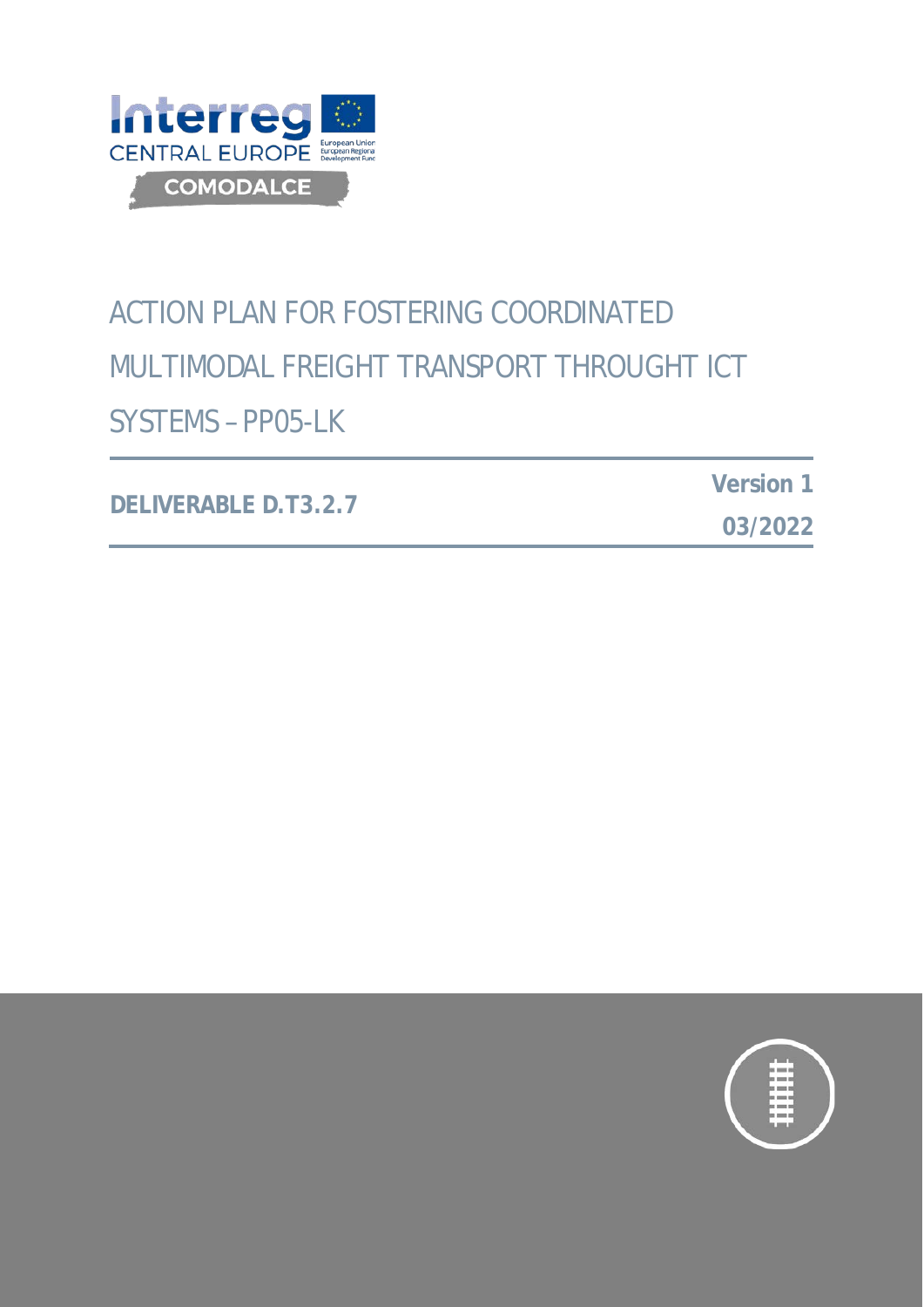

# ACTION PLAN FOR FOSTERING COORDINATED MULTIMODAL FREIGHT TRANSPORT THROUGHT ICT SYSTEMS – PP05-LK

**DELIVERABLE D.T3.2.7**

**Version 1**

**03/2022**

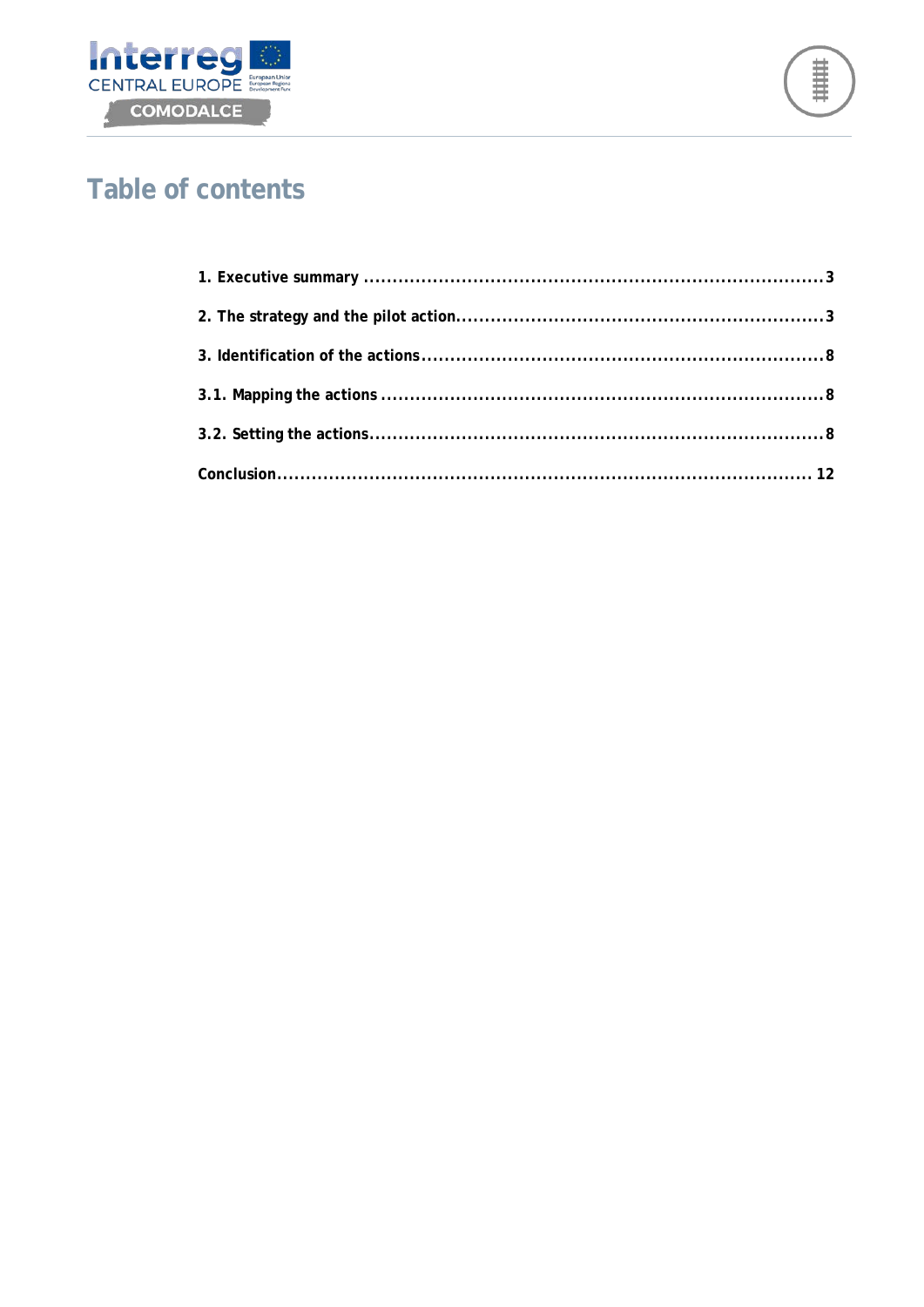



# **Table of contents**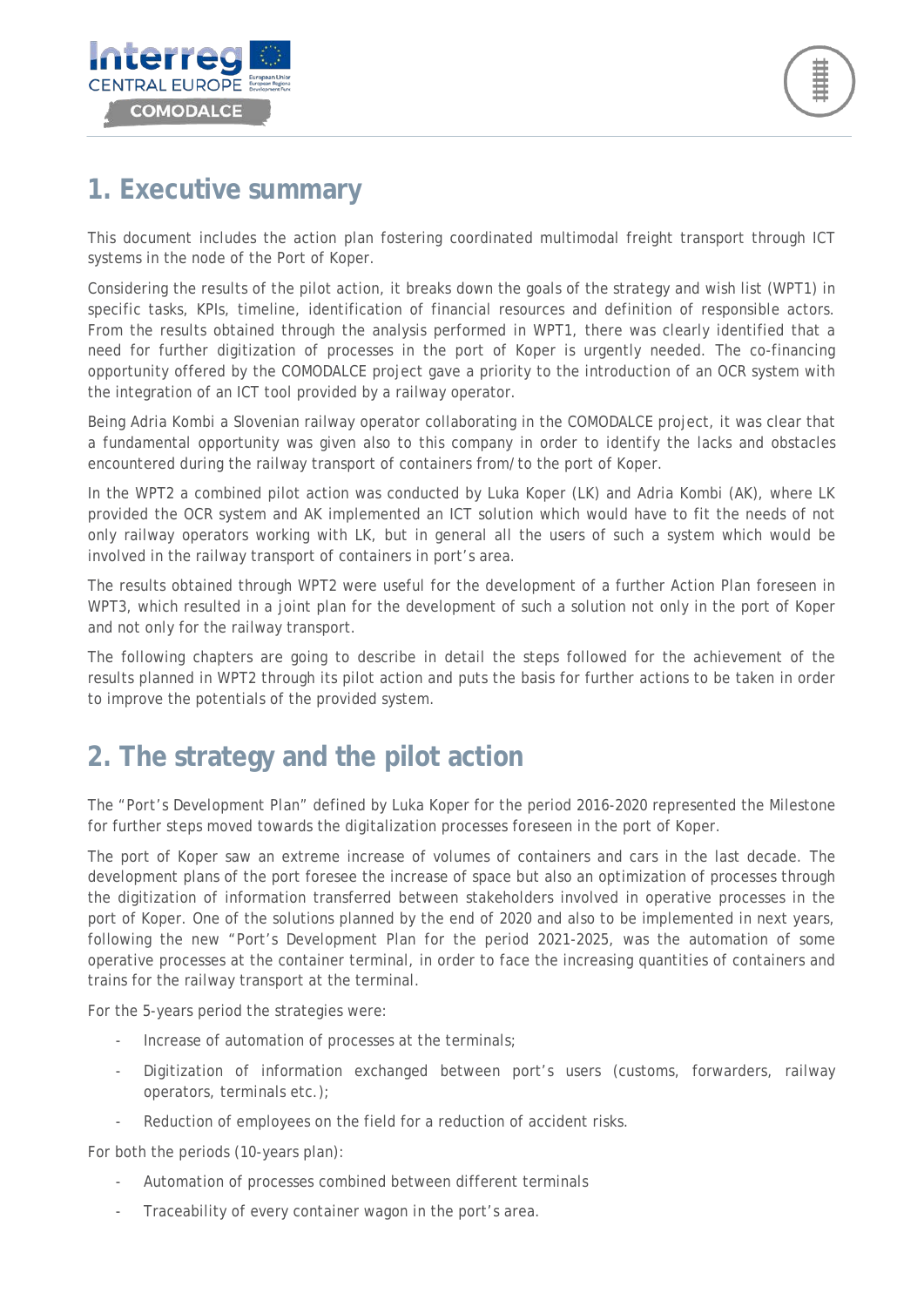

### <span id="page-2-0"></span>**1. Executive summary**

This document includes the action plan fostering coordinated multimodal freight transport through ICT systems in the node of the Port of Koper.

Considering the results of the pilot action, it breaks down the goals of the strategy and wish list (WPT1) in specific tasks, KPIs, timeline, identification of financial resources and definition of responsible actors. From the results obtained through the analysis performed in WPT1, there was clearly identified that a need for further digitization of processes in the port of Koper is urgently needed. The co-financing opportunity offered by the COMODALCE project gave a priority to the introduction of an OCR system with the integration of an ICT tool provided by a railway operator.

Being Adria Kombi a Slovenian railway operator collaborating in the COMODALCE project, it was clear that a fundamental opportunity was given also to this company in order to identify the lacks and obstacles encountered during the railway transport of containers from/to the port of Koper.

In the WPT2 a combined pilot action was conducted by Luka Koper (LK) and Adria Kombi (AK), where LK provided the OCR system and AK implemented an ICT solution which would have to fit the needs of not only railway operators working with LK, but in general all the users of such a system which would be involved in the railway transport of containers in port's area.

The results obtained through WPT2 were useful for the development of a further Action Plan foreseen in WPT3, which resulted in a joint plan for the development of such a solution not only in the port of Koper and not only for the railway transport.

The following chapters are going to describe in detail the steps followed for the achievement of the results planned in WPT2 through its pilot action and puts the basis for further actions to be taken in order to improve the potentials of the provided system.

# <span id="page-2-1"></span>**2. The strategy and the pilot action**

The "*Port's Development Plan*" defined by Luka Koper for the period 2016-2020 represented the Milestone for further steps moved towards the digitalization processes foreseen in the port of Koper.

The port of Koper saw an extreme increase of volumes of containers and cars in the last decade. The development plans of the port foresee the increase of space but also an optimization of processes through the digitization of information transferred between stakeholders involved in operative processes in the port of Koper. One of the solutions planned by the end of 2020 and also to be implemented in next years, following the new "Port's Development Plan for the period 2021-2025, was the automation of some operative processes at the container terminal, in order to face the increasing quantities of containers and trains for the railway transport at the terminal.

For the 5-years period the strategies were:

- Increase of automation of processes at the terminals;
- Digitization of information exchanged between port's users (customs, forwarders, railway operators, terminals etc.);
- Reduction of employees on the field for a reduction of accident risks.

For both the periods (10-years plan):

- Automation of processes combined between different terminals
- Traceability of every container wagon in the port's area.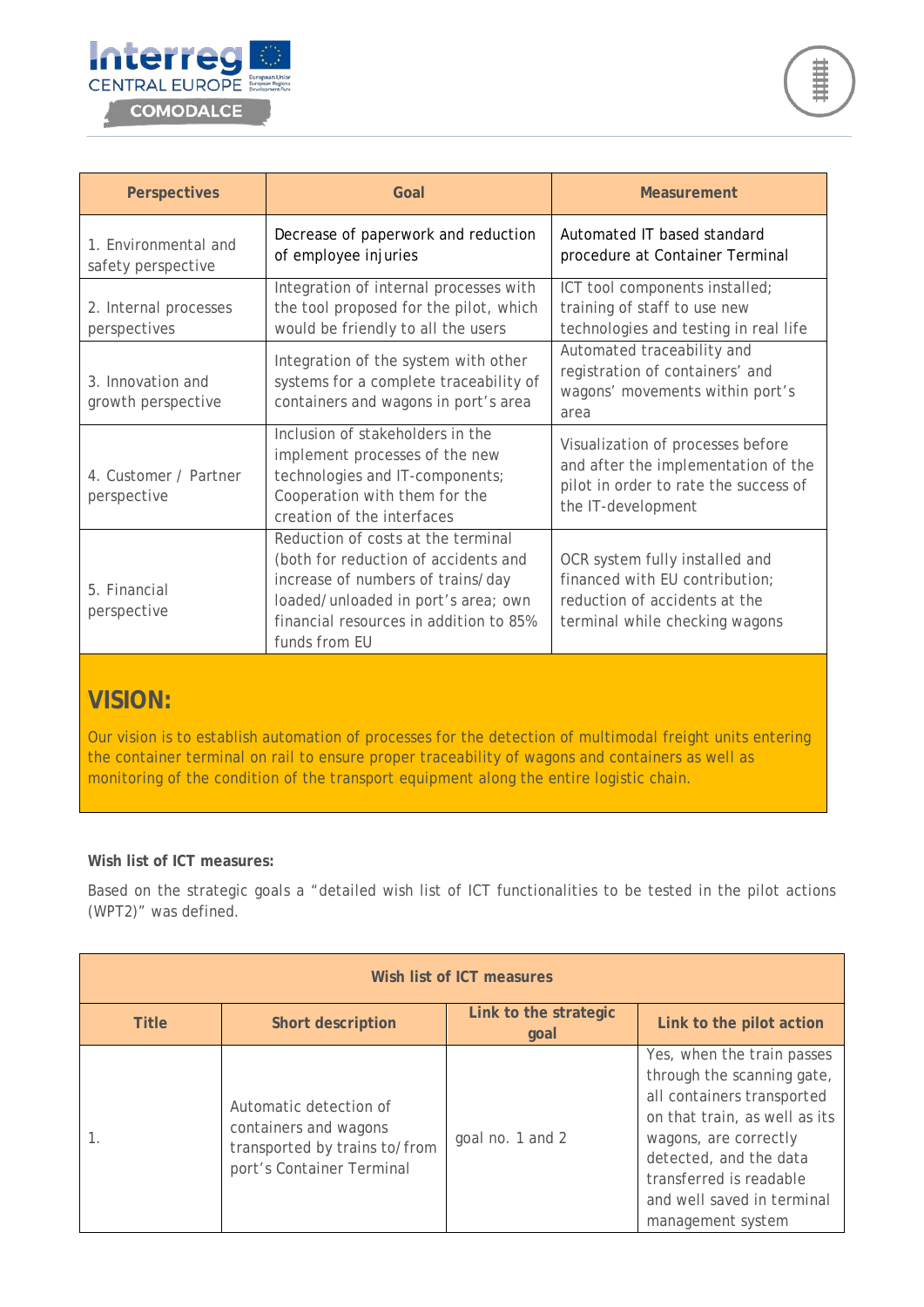

| <b>Perspectives</b>                        | Goal                                                                                                                                                                                                              | <b>Measurement</b>                                                                                                                      |
|--------------------------------------------|-------------------------------------------------------------------------------------------------------------------------------------------------------------------------------------------------------------------|-----------------------------------------------------------------------------------------------------------------------------------------|
| 1. Environmental and<br>safety perspective | Decrease of paperwork and reduction<br>of employee injuries                                                                                                                                                       | Automated IT based standard<br>procedure at Container Terminal                                                                          |
| 2. Internal processes<br>perspectives      | Integration of internal processes with<br>the tool proposed for the pilot, which<br>would be friendly to all the users                                                                                            | ICT tool components installed;<br>training of staff to use new<br>technologies and testing in real life                                 |
| 3. Innovation and<br>growth perspective    | Integration of the system with other<br>systems for a complete traceability of<br>containers and wagons in port's area                                                                                            | Automated traceability and<br>registration of containers' and<br>wagons' movements within port's<br>area                                |
| 4. Customer / Partner<br>perspective       | Inclusion of stakeholders in the<br>implement processes of the new<br>technologies and IT-components;<br>Cooperation with them for the<br>creation of the interfaces                                              | Visualization of processes before<br>and after the implementation of the<br>pilot in order to rate the success of<br>the IT-development |
| 5. Financial<br>perspective                | Reduction of costs at the terminal<br>(both for reduction of accidents and<br>increase of numbers of trains/day<br>loaded/unloaded in port's area; own<br>financial resources in addition to 85%<br>funds from EU | OCR system fully installed and<br>financed with EU contribution;<br>reduction of accidents at the<br>terminal while checking wagons     |

### **VISION:**

Our vision is to establish automation of processes for the detection of multimodal freight units entering the container terminal on rail to ensure proper traceability of wagons and containers as well as monitoring of the condition of the transport equipment along the entire logistic chain.

#### **Wish list of ICT measures:**

Based on the strategic goals a "detailed wish list of ICT functionalities to be tested in the pilot actions (WPT2)" was defined.

| Wish list of ICT measures |                                                                                                               |                               |                                                                                                                                                                                                                                                          |
|---------------------------|---------------------------------------------------------------------------------------------------------------|-------------------------------|----------------------------------------------------------------------------------------------------------------------------------------------------------------------------------------------------------------------------------------------------------|
| <b>Title</b>              | <b>Short description</b>                                                                                      | Link to the strategic<br>goal | Link to the pilot action                                                                                                                                                                                                                                 |
|                           | Automatic detection of<br>containers and wagons<br>transported by trains to/from<br>port's Container Terminal | goal no. 1 and 2              | Yes, when the train passes<br>through the scanning gate,<br>all containers transported<br>on that train, as well as its<br>wagons, are correctly<br>detected, and the data<br>transferred is readable<br>and well saved in terminal<br>management system |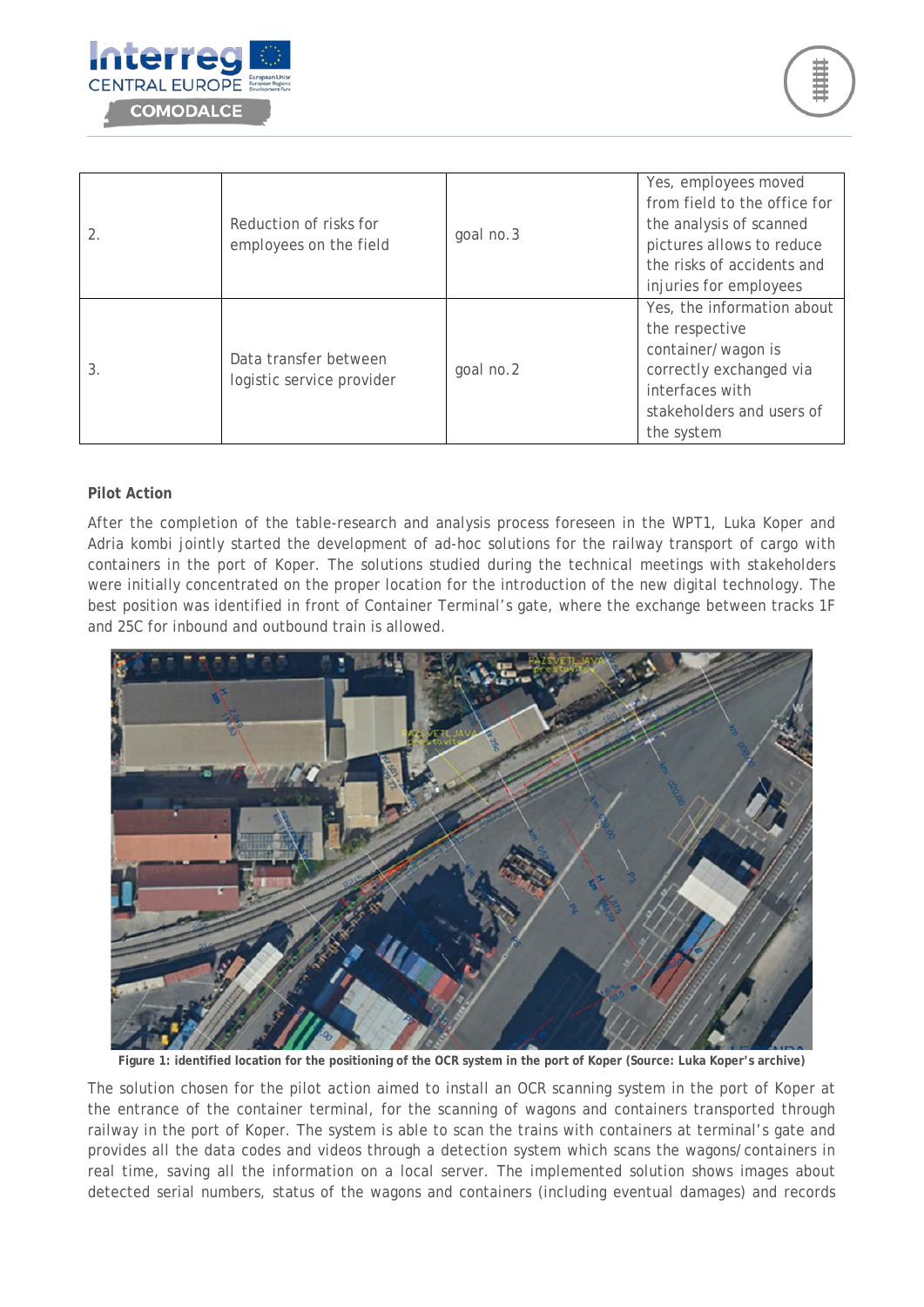

| 2. | Reduction of risks for<br>employees on the field   | goal no.3 | Yes, employees moved<br>from field to the office for<br>the analysis of scanned<br>pictures allows to reduce<br>the risks of accidents and<br>injuries for employees |
|----|----------------------------------------------------|-----------|----------------------------------------------------------------------------------------------------------------------------------------------------------------------|
| 3. | Data transfer between<br>logistic service provider | goal no.2 | Yes, the information about<br>the respective<br>container/wagon is<br>correctly exchanged via<br>interfaces with<br>stakeholders and users of<br>the system          |

#### **Pilot Action**

After the completion of the table-research and analysis process foreseen in the WPT1, Luka Koper and Adria kombi jointly started the development of ad-hoc solutions for the railway transport of cargo with containers in the port of Koper. The solutions studied during the technical meetings with stakeholders were initially concentrated on the proper location for the introduction of the new digital technology. The best position was identified in front of Container Terminal's gate, where the exchange between tracks 1F and 25C for inbound and outbound train is allowed.



**Figure 1: identified location for the positioning of the OCR system in the port of Koper (Source: Luka Koper's archive)**

The solution chosen for the pilot action aimed to install an OCR scanning system in the port of Koper at the entrance of the container terminal, for the scanning of wagons and containers transported through railway in the port of Koper. The system is able to scan the trains with containers at terminal's gate and provides all the data codes and videos through a detection system which scans the wagons/containers in real time, saving all the information on a local server. The implemented solution shows images about detected serial numbers, status of the wagons and containers (including eventual damages) and records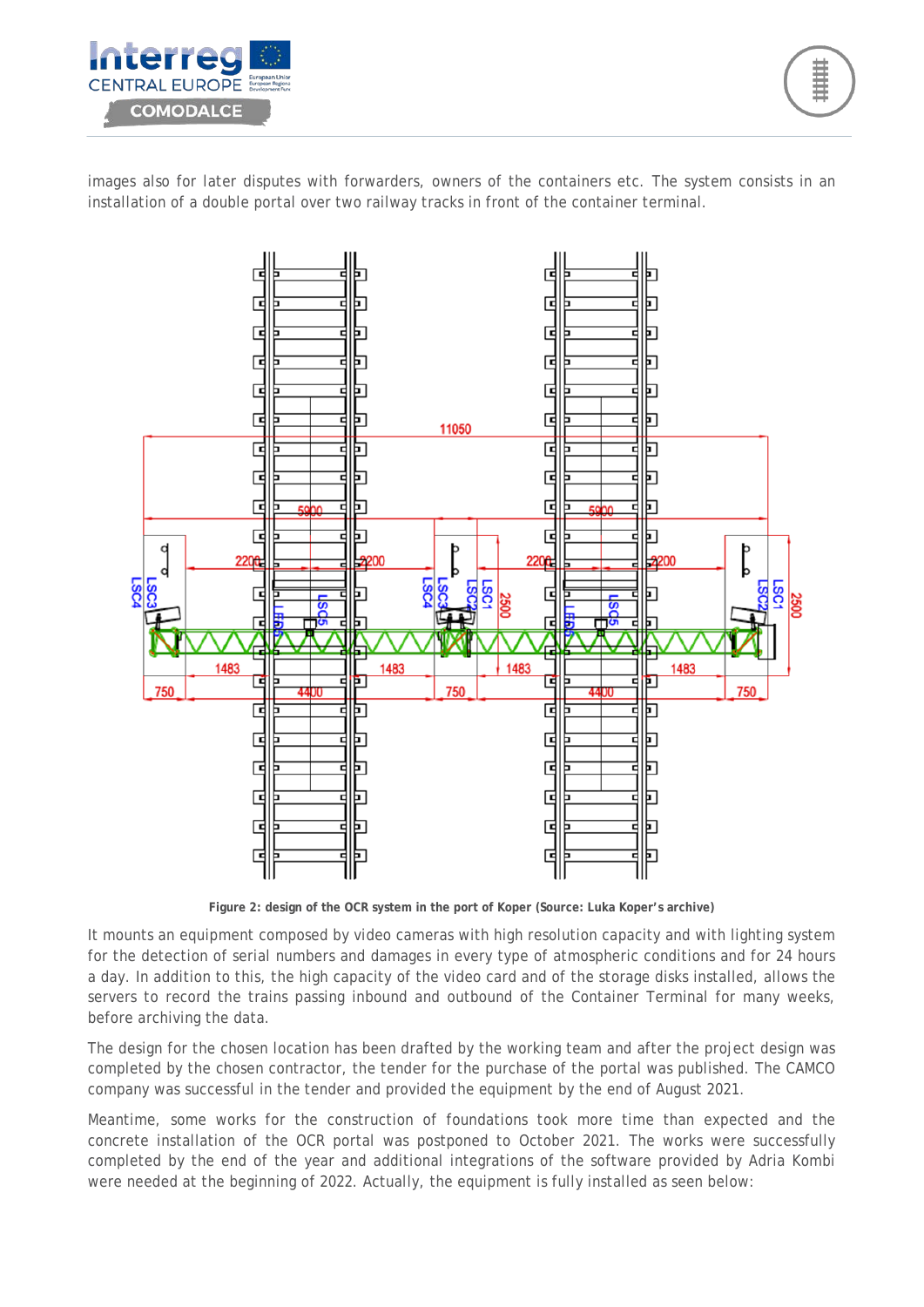

images also for later disputes with forwarders, owners of the containers etc. The system consists in an installation of a double portal over two railway tracks in front of the container terminal.



**Figure 2: design of the OCR system in the port of Koper (Source: Luka Koper's archive)**

It mounts an equipment composed by video cameras with high resolution capacity and with lighting system for the detection of serial numbers and damages in every type of atmospheric conditions and for 24 hours a day. In addition to this, the high capacity of the video card and of the storage disks installed, allows the servers to record the trains passing inbound and outbound of the Container Terminal for many weeks, before archiving the data.

The design for the chosen location has been drafted by the working team and after the project design was completed by the chosen contractor, the tender for the purchase of the portal was published. The CAMCO company was successful in the tender and provided the equipment by the end of August 2021.

Meantime, some works for the construction of foundations took more time than expected and the concrete installation of the OCR portal was postponed to October 2021. The works were successfully completed by the end of the year and additional integrations of the software provided by Adria Kombi were needed at the beginning of 2022. Actually, the equipment is fully installed as seen below: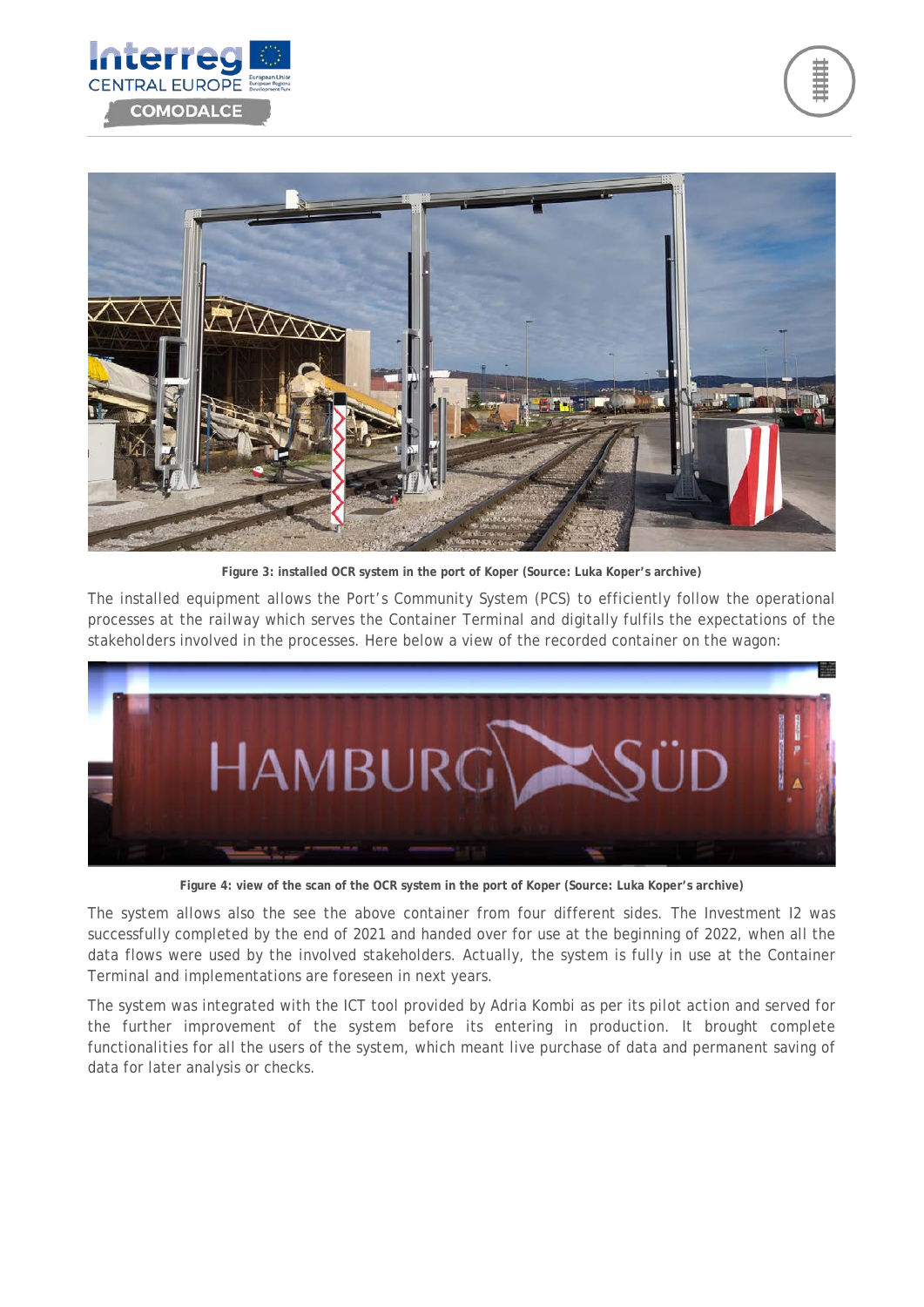





**Figure 3: installed OCR system in the port of Koper (Source: Luka Koper's archive)**

The installed equipment allows the Port's Community System (PCS) to efficiently follow the operational processes at the railway which serves the Container Terminal and digitally fulfils the expectations of the stakeholders involved in the processes. Here below a view of the recorded container on the wagon:



**Figure 4: view of the scan of the OCR system in the port of Koper (Source: Luka Koper's archive)**

The system allows also the see the above container from four different sides. The Investment I2 was successfully completed by the end of 2021 and handed over for use at the beginning of 2022, when all the data flows were used by the involved stakeholders. Actually, the system is fully in use at the Container Terminal and implementations are foreseen in next years.

The system was integrated with the ICT tool provided by Adria Kombi as per its pilot action and served for the further improvement of the system before its entering in production. It brought complete functionalities for all the users of the system, which meant live purchase of data and permanent saving of data for later analysis or checks.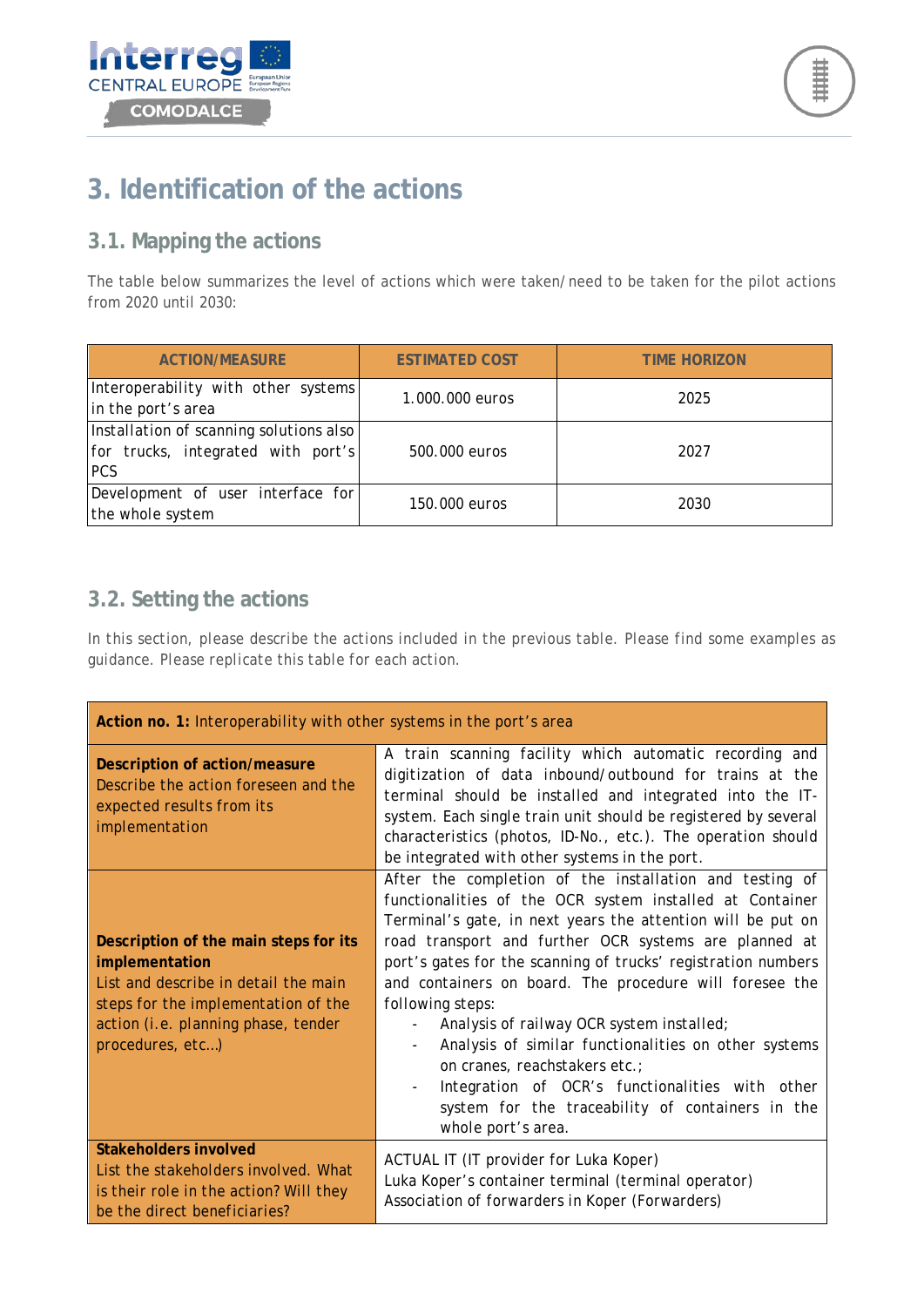



## <span id="page-7-0"></span>**3. Identification of the actions**

### <span id="page-7-1"></span>**3.1. Mapping the actions**

The table below summarizes the level of actions which were taken/need to be taken for the pilot actions from 2020 until 2030:

| <b>ACTION/MEASURE</b>                                                                       | <b>ESTIMATED COST</b> | <b>TIME HORIZON</b> |
|---------------------------------------------------------------------------------------------|-----------------------|---------------------|
| Interoperability with other systems<br>in the port's area                                   | 1.000.000 euros       | 2025                |
| Installation of scanning solutions also<br>for trucks, integrated with port's<br><b>PCS</b> | 500.000 euros         | 2027                |
| Development of user interface for<br>the whole system                                       | 150,000 euros         | 2030                |

### <span id="page-7-2"></span>**3.2. Setting the actions**

*In this section, please describe the actions included in the previous table. Please find some examples as guidance. Please replicate this table for each action.*

| Action no. 1: Interoperability with other systems in the port's area                                                                                                                              |                                                                                                                                                                                                                                                                                                                                                                                                                                                                                                                                                                                                                                                                |  |
|---------------------------------------------------------------------------------------------------------------------------------------------------------------------------------------------------|----------------------------------------------------------------------------------------------------------------------------------------------------------------------------------------------------------------------------------------------------------------------------------------------------------------------------------------------------------------------------------------------------------------------------------------------------------------------------------------------------------------------------------------------------------------------------------------------------------------------------------------------------------------|--|
| Description of action/measure<br>Describe the action foreseen and the<br>expected results from its<br>implementation                                                                              | A train scanning facility which automatic recording and<br>digitization of data inbound/outbound for trains at the<br>terminal should be installed and integrated into the IT-<br>system. Each single train unit should be registered by several<br>characteristics (photos, ID-No., etc.). The operation should<br>be integrated with other systems in the port.                                                                                                                                                                                                                                                                                              |  |
| Description of the main steps for its<br>implementation<br>List and describe in detail the main<br>steps for the implementation of the<br>action (i.e. planning phase, tender<br>procedures, etc) | After the completion of the installation and testing of<br>functionalities of the OCR system installed at Container<br>Terminal's gate, in next years the attention will be put on<br>road transport and further OCR systems are planned at<br>port's gates for the scanning of trucks' registration numbers<br>and containers on board. The procedure will foresee the<br>following steps:<br>Analysis of railway OCR system installed;<br>Analysis of similar functionalities on other systems<br>on cranes, reachstakers etc.;<br>Integration of OCR's functionalities with other<br>system for the traceability of containers in the<br>whole port's area. |  |
| Stakeholders involved<br>List the stakeholders involved. What<br>is their role in the action? Will they<br>be the direct beneficiaries?                                                           | ACTUAL IT (IT provider for Luka Koper)<br>Luka Koper's container terminal (terminal operator)<br>Association of forwarders in Koper (Forwarders)                                                                                                                                                                                                                                                                                                                                                                                                                                                                                                               |  |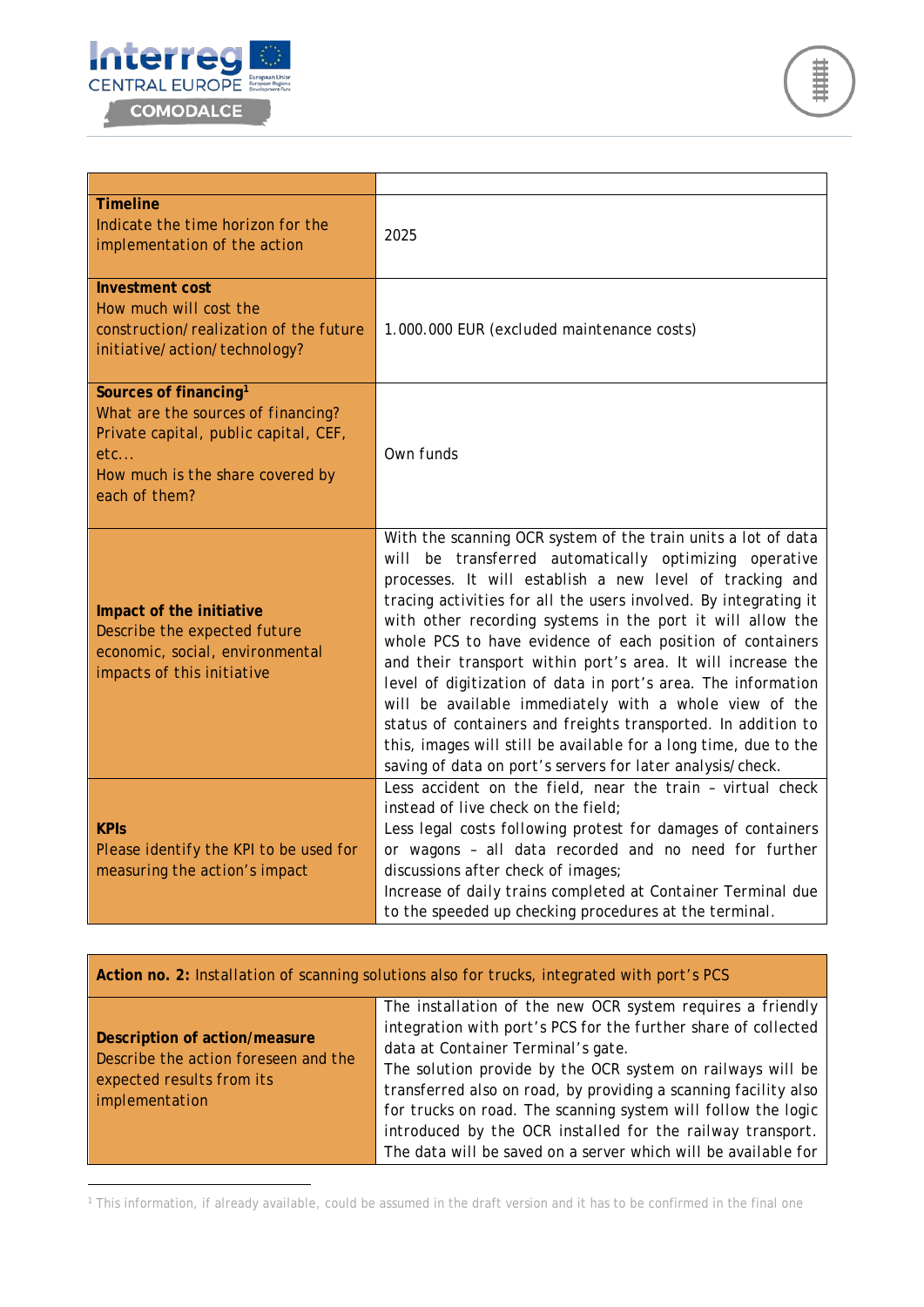



| <b>Timeline</b><br>Indicate the time horizon for the<br>implementation of the action                                                                                            | 2025                                                                                                                                                                                                                                                                                                                                                                                                                                                                                                                                                                                                                                                                                                                                                                             |
|---------------------------------------------------------------------------------------------------------------------------------------------------------------------------------|----------------------------------------------------------------------------------------------------------------------------------------------------------------------------------------------------------------------------------------------------------------------------------------------------------------------------------------------------------------------------------------------------------------------------------------------------------------------------------------------------------------------------------------------------------------------------------------------------------------------------------------------------------------------------------------------------------------------------------------------------------------------------------|
| <b>Investment cost</b><br>How much will cost the<br>construction/realization of the future<br>initiative/action/technology?                                                     | 1.000.000 EUR (excluded maintenance costs)                                                                                                                                                                                                                                                                                                                                                                                                                                                                                                                                                                                                                                                                                                                                       |
| Sources of financing <sup>1</sup><br>What are the sources of financing?<br>Private capital, public capital, CEF,<br>$etc.$<br>How much is the share covered by<br>each of them? | Own funds                                                                                                                                                                                                                                                                                                                                                                                                                                                                                                                                                                                                                                                                                                                                                                        |
| Impact of the initiative<br>Describe the expected future<br>economic, social, environmental<br>impacts of this initiative                                                       | With the scanning OCR system of the train units a lot of data<br>will be transferred automatically optimizing operative<br>processes. It will establish a new level of tracking and<br>tracing activities for all the users involved. By integrating it<br>with other recording systems in the port it will allow the<br>whole PCS to have evidence of each position of containers<br>and their transport within port's area. It will increase the<br>level of digitization of data in port's area. The information<br>will be available immediately with a whole view of the<br>status of containers and freights transported. In addition to<br>this, images will still be available for a long time, due to the<br>saving of data on port's servers for later analysis/check. |
| <b>KPIS</b><br>Please identify the KPI to be used for<br>measuring the action's impact                                                                                          | Less accident on the field, near the train - virtual check<br>instead of live check on the field;<br>Less legal costs following protest for damages of containers<br>or wagons - all data recorded and no need for further<br>discussions after check of images;<br>Increase of daily trains completed at Container Terminal due<br>to the speeded up checking procedures at the terminal.                                                                                                                                                                                                                                                                                                                                                                                       |

| Action no. 2: Installation of scanning solutions also for trucks, integrated with port's PCS                         |                                                                                                                                                                                                                                                                                                                                                                                                                                                                                                      |  |
|----------------------------------------------------------------------------------------------------------------------|------------------------------------------------------------------------------------------------------------------------------------------------------------------------------------------------------------------------------------------------------------------------------------------------------------------------------------------------------------------------------------------------------------------------------------------------------------------------------------------------------|--|
| Description of action/measure<br>Describe the action foreseen and the<br>expected results from its<br>implementation | The installation of the new OCR system requires a friendly<br>integration with port's PCS for the further share of collected<br>data at Container Terminal's gate.<br>The solution provide by the OCR system on railways will be<br>transferred also on road, by providing a scanning facility also<br>for trucks on road. The scanning system will follow the logic<br>introduced by the OCR installed for the railway transport.<br>The data will be saved on a server which will be available for |  |

<span id="page-8-0"></span><sup>1</sup> This information, if already available, could be assumed in the draft version and it has to be confirmed in the final one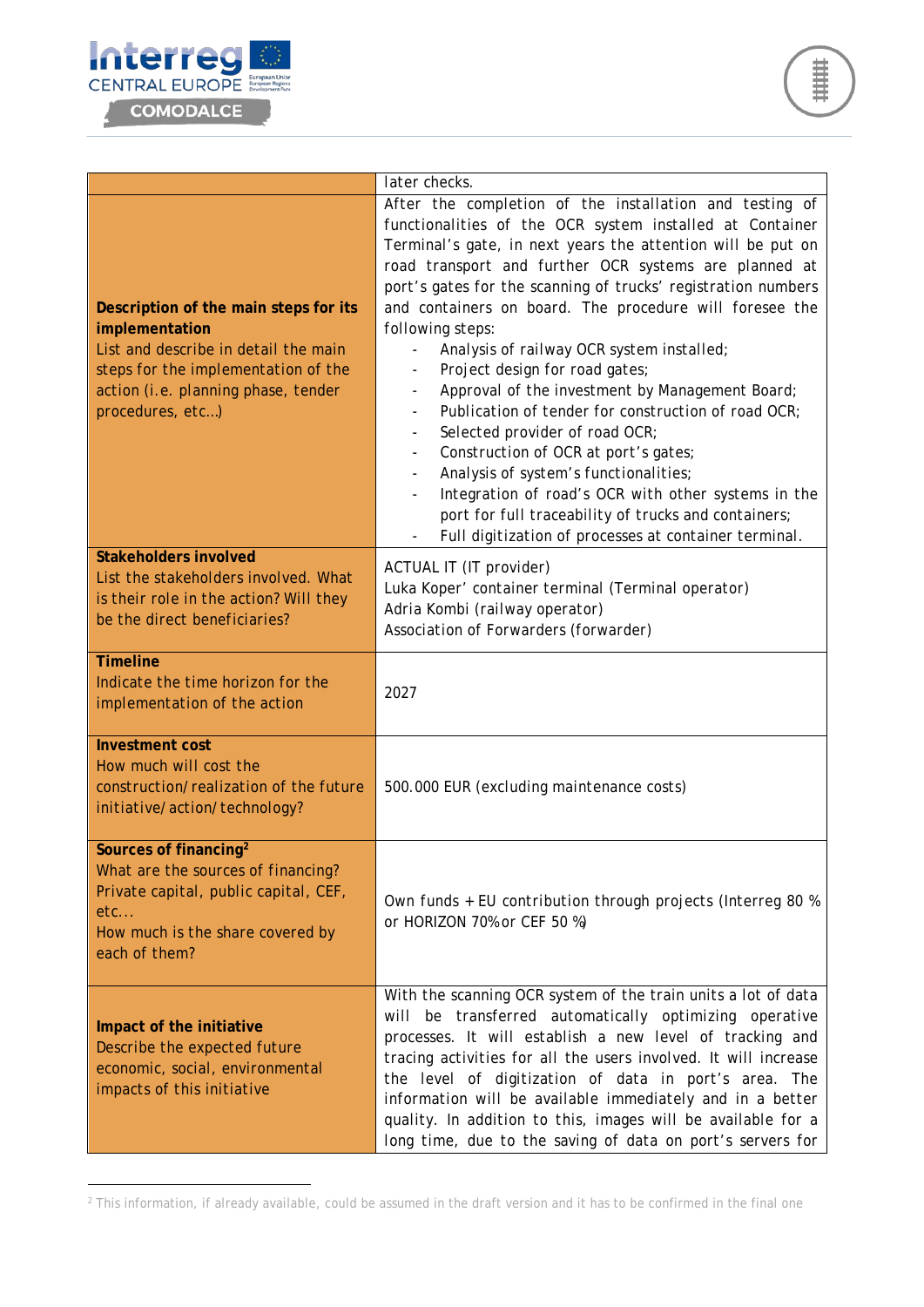

|                                                                                                                                                                                                   | later checks.                                                                                                                                                                                                                                                                                                                                                                                                                                                                                                                                                                                                                                                                                                                                                                                                                                                                                                                 |
|---------------------------------------------------------------------------------------------------------------------------------------------------------------------------------------------------|-------------------------------------------------------------------------------------------------------------------------------------------------------------------------------------------------------------------------------------------------------------------------------------------------------------------------------------------------------------------------------------------------------------------------------------------------------------------------------------------------------------------------------------------------------------------------------------------------------------------------------------------------------------------------------------------------------------------------------------------------------------------------------------------------------------------------------------------------------------------------------------------------------------------------------|
| Description of the main steps for its<br>implementation<br>List and describe in detail the main<br>steps for the implementation of the<br>action (i.e. planning phase, tender<br>procedures, etc) | After the completion of the installation and testing of<br>functionalities of the OCR system installed at Container<br>Terminal's gate, in next years the attention will be put on<br>road transport and further OCR systems are planned at<br>port's gates for the scanning of trucks' registration numbers<br>and containers on board. The procedure will foresee the<br>following steps:<br>Analysis of railway OCR system installed;<br>Project design for road gates;<br>Approval of the investment by Management Board;<br>Publication of tender for construction of road OCR;<br>$\overline{\phantom{a}}$<br>Selected provider of road OCR;<br>$\blacksquare$<br>Construction of OCR at port's gates;<br>Analysis of system's functionalities;<br>Integration of road's OCR with other systems in the<br>port for full traceability of trucks and containers;<br>Full digitization of processes at container terminal. |
| <b>Stakeholders involved</b><br>List the stakeholders involved. What<br>is their role in the action? Will they<br>be the direct beneficiaries?                                                    | ACTUAL IT (IT provider)<br>Luka Koper' container terminal (Terminal operator)<br>Adria Kombi (railway operator)<br>Association of Forwarders (forwarder)                                                                                                                                                                                                                                                                                                                                                                                                                                                                                                                                                                                                                                                                                                                                                                      |
| <b>Timeline</b><br>Indicate the time horizon for the<br>implementation of the action                                                                                                              | 2027                                                                                                                                                                                                                                                                                                                                                                                                                                                                                                                                                                                                                                                                                                                                                                                                                                                                                                                          |
| <b>Investment cost</b><br>How much will cost the<br>construction/realization of the future<br>initiative/action/technology?                                                                       | 500.000 EUR (excluding maintenance costs)                                                                                                                                                                                                                                                                                                                                                                                                                                                                                                                                                                                                                                                                                                                                                                                                                                                                                     |
| Sources of financing <sup>2</sup><br>What are the sources of financing?<br>Private capital, public capital, CEF,<br>etc<br>How much is the share covered by<br>each of them?                      | Own funds + EU contribution through projects (Interreg 80 %<br>or HORIZON 70% or CEF 50 %)                                                                                                                                                                                                                                                                                                                                                                                                                                                                                                                                                                                                                                                                                                                                                                                                                                    |
| Impact of the initiative<br>Describe the expected future<br>economic, social, environmental<br>impacts of this initiative                                                                         | With the scanning OCR system of the train units a lot of data<br>will be transferred automatically optimizing operative<br>processes. It will establish a new level of tracking and<br>tracing activities for all the users involved. It will increase<br>the level of digitization of data in port's area. The<br>information will be available immediately and in a better<br>quality. In addition to this, images will be available for a<br>long time, due to the saving of data on port's servers for                                                                                                                                                                                                                                                                                                                                                                                                                    |

<span id="page-9-0"></span><sup>&</sup>lt;sup>2</sup> This information, if already available, could be assumed in the draft version and it has to be confirmed in the final one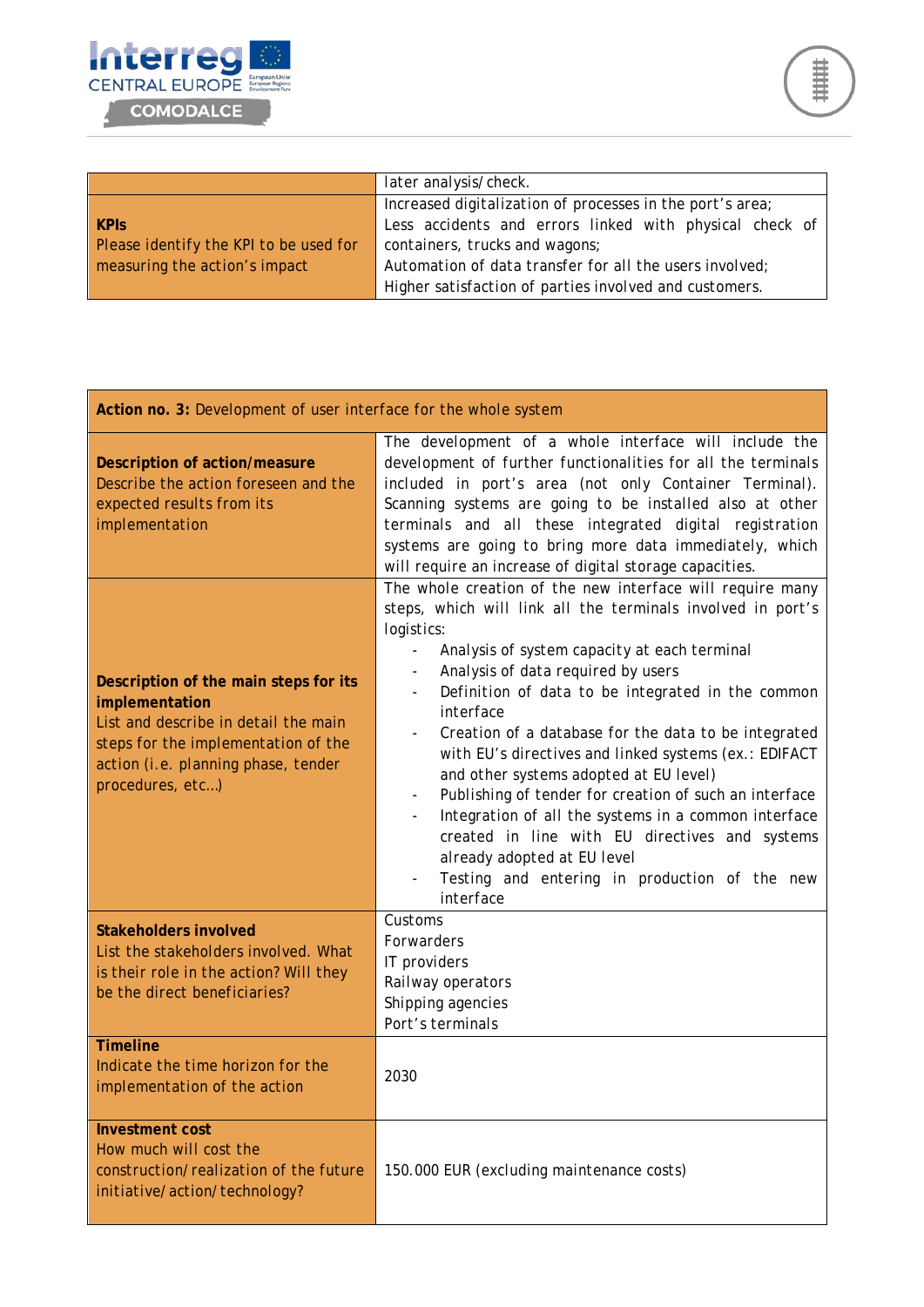

|                                        | later analysis/check.                                     |
|----------------------------------------|-----------------------------------------------------------|
|                                        | Increased digitalization of processes in the port's area; |
| <b>KPIS</b>                            | Less accidents and errors linked with physical check of   |
| Please identify the KPI to be used for | containers, trucks and wagons;                            |
| measuring the action's impact          | Automation of data transfer for all the users involved;   |
|                                        | Higher satisfaction of parties involved and customers.    |

| Action no. 3: Development of user interface for the whole system                                                                                                                                  |                                                                                                                                                                                                                                                                                                                                                                                                                                                                                                                                                                                                                                                                                                                            |
|---------------------------------------------------------------------------------------------------------------------------------------------------------------------------------------------------|----------------------------------------------------------------------------------------------------------------------------------------------------------------------------------------------------------------------------------------------------------------------------------------------------------------------------------------------------------------------------------------------------------------------------------------------------------------------------------------------------------------------------------------------------------------------------------------------------------------------------------------------------------------------------------------------------------------------------|
| Description of action/measure<br>Describe the action foreseen and the<br>expected results from its<br>implementation                                                                              | The development of a whole interface will include the<br>development of further functionalities for all the terminals<br>included in port's area (not only Container Terminal).<br>Scanning systems are going to be installed also at other<br>terminals and all these integrated digital registration<br>systems are going to bring more data immediately, which<br>will require an increase of digital storage capacities.                                                                                                                                                                                                                                                                                               |
| Description of the main steps for its<br>implementation<br>List and describe in detail the main<br>steps for the implementation of the<br>action (i.e. planning phase, tender<br>procedures, etc) | The whole creation of the new interface will require many<br>steps, which will link all the terminals involved in port's<br>logistics:<br>Analysis of system capacity at each terminal<br>Analysis of data required by users<br>Definition of data to be integrated in the common<br>interface<br>Creation of a database for the data to be integrated<br>with EU's directives and linked systems (ex.: EDIFACT<br>and other systems adopted at EU level)<br>Publishing of tender for creation of such an interface<br>Integration of all the systems in a common interface<br>created in line with EU directives and systems<br>already adopted at EU level<br>Testing and entering in production of the new<br>interface |
| <b>Stakeholders involved</b><br>List the stakeholders involved. What<br>is their role in the action? Will they<br>be the direct beneficiaries?                                                    | Customs<br>Forwarders<br>IT providers<br>Railway operators<br>Shipping agencies<br>Port's terminals                                                                                                                                                                                                                                                                                                                                                                                                                                                                                                                                                                                                                        |
| <b>Timeline</b><br>Indicate the time horizon for the<br>implementation of the action                                                                                                              | 2030                                                                                                                                                                                                                                                                                                                                                                                                                                                                                                                                                                                                                                                                                                                       |
| <b>Investment cost</b><br>How much will cost the<br>construction/realization of the future<br>initiative/action/technology?                                                                       | 150.000 EUR (excluding maintenance costs)                                                                                                                                                                                                                                                                                                                                                                                                                                                                                                                                                                                                                                                                                  |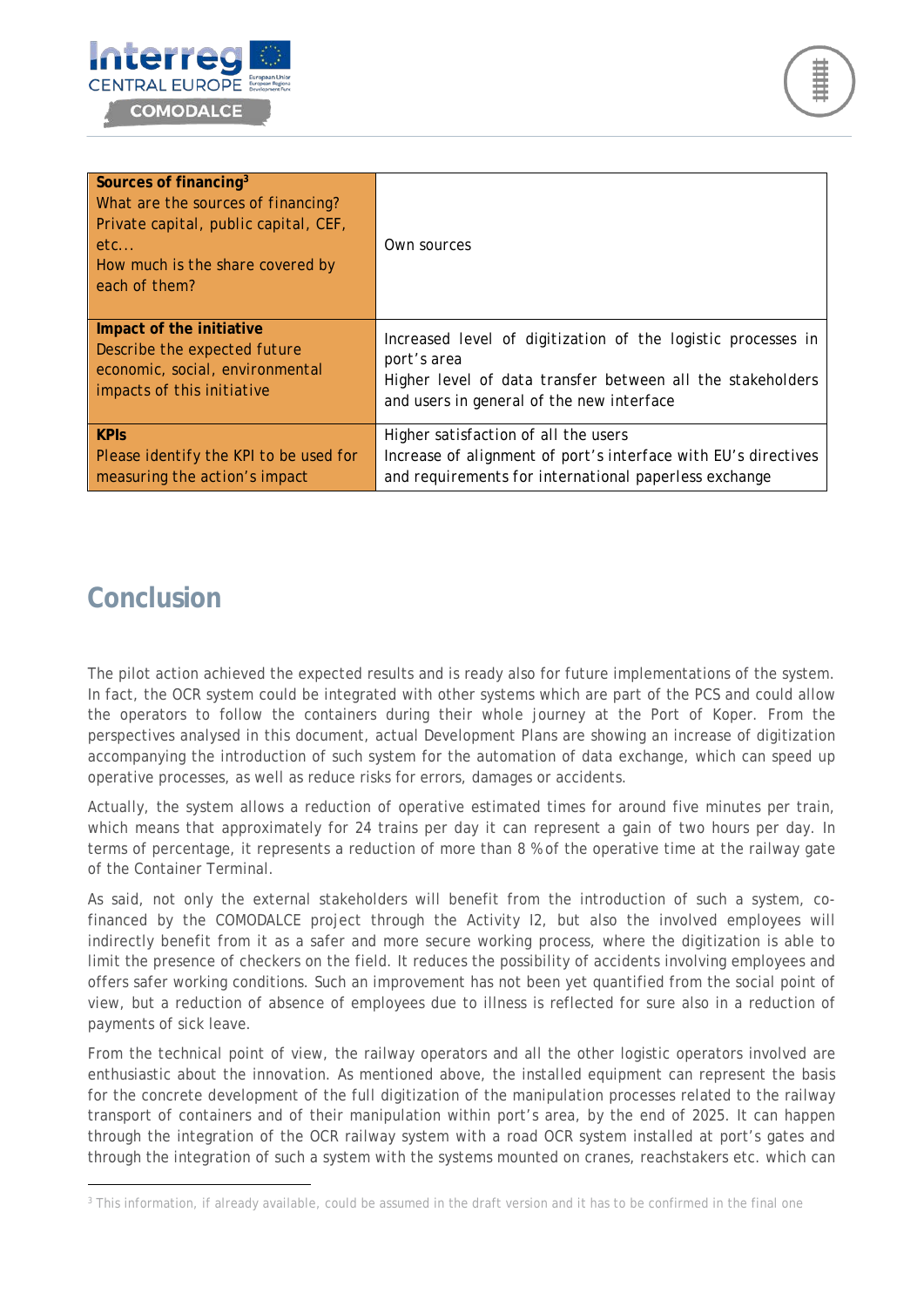



| Sources of financing <sup>3</sup><br>What are the sources of financing?<br>Private capital, public capital, CEF,<br>etc<br>How much is the share covered by<br>each of them? | Own sources                                                    |
|------------------------------------------------------------------------------------------------------------------------------------------------------------------------------|----------------------------------------------------------------|
| Impact of the initiative                                                                                                                                                     | Increased level of digitization of the logistic processes in   |
| Describe the expected future                                                                                                                                                 | port's area                                                    |
| economic, social, environmental                                                                                                                                              | Higher level of data transfer between all the stakeholders     |
| <i>impacts of this initiative</i>                                                                                                                                            | and users in general of the new interface                      |
| <b>KPIs</b>                                                                                                                                                                  | Higher satisfaction of all the users                           |
| Please identify the KPI to be used for                                                                                                                                       | Increase of alignment of port's interface with EU's directives |
| measuring the action's impact                                                                                                                                                | and requirements for international paperless exchange          |

## <span id="page-11-0"></span>**Conclusion**

The pilot action achieved the expected results and is ready also for future implementations of the system. In fact, the OCR system could be integrated with other systems which are part of the PCS and could allow the operators to follow the containers during their whole journey at the Port of Koper. From the perspectives analysed in this document, actual Development Plans are showing an increase of digitization accompanying the introduction of such system for the automation of data exchange, which can speed up operative processes, as well as reduce risks for errors, damages or accidents.

Actually, the system allows a reduction of operative estimated times for around five minutes per train, which means that approximately for 24 trains per day it can represent a gain of two hours per day. In terms of percentage, it represents a reduction of more than 8 % of the operative time at the railway gate of the Container Terminal.

As said, not only the external stakeholders will benefit from the introduction of such a system, cofinanced by the COMODALCE project through the Activity I2, but also the involved employees will indirectly benefit from it as a safer and more secure working process, where the digitization is able to limit the presence of checkers on the field. It reduces the possibility of accidents involving employees and offers safer working conditions. Such an improvement has not been yet quantified from the social point of view, but a reduction of absence of employees due to illness is reflected for sure also in a reduction of payments of sick leave.

From the technical point of view, the railway operators and all the other logistic operators involved are enthusiastic about the innovation. As mentioned above, the installed equipment can represent the basis for the concrete development of the full digitization of the manipulation processes related to the railway transport of containers and of their manipulation within port's area, by the end of 2025. It can happen through the integration of the OCR railway system with a road OCR system installed at port's gates and through the integration of such a system with the systems mounted on cranes, reachstakers etc. which can

<span id="page-11-1"></span><sup>&</sup>lt;sup>3</sup> This information, if already available, could be assumed in the draft version and it has to be confirmed in the final one